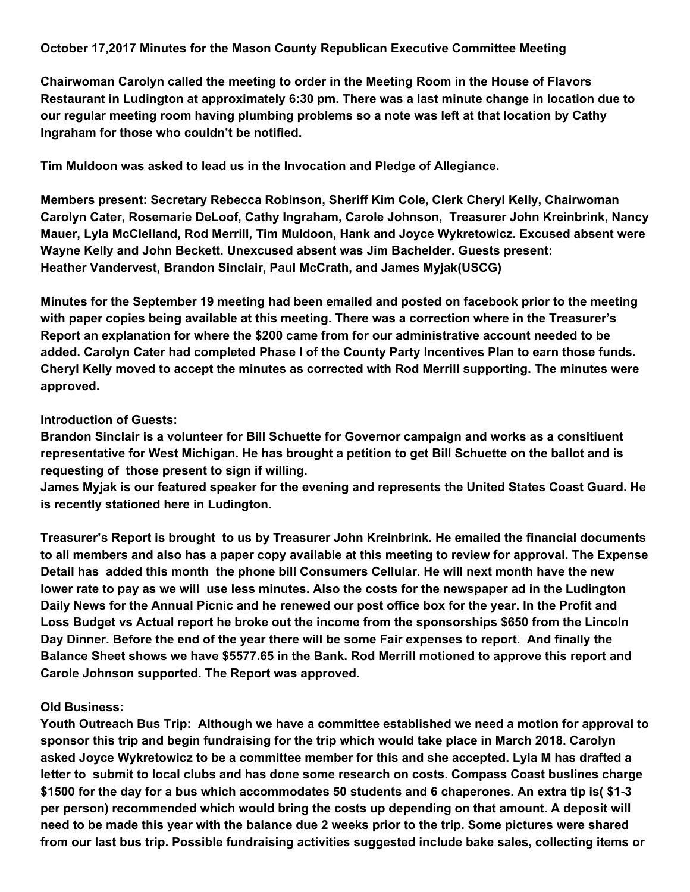## **October 17,2017 Minutes for the Mason County Republican Executive Committee Meeting**

**Chairwoman Carolyn called the meeting to order in the Meeting Room in the House of Flavors Restaurant in Ludington at approximately 6:30 pm. There was a last minute change in location due to our regular meeting room having plumbing problems so a note was left at that location by Cathy Ingraham for those who couldn't be notified.**

**Tim Muldoon was asked to lead us in the Invocation and Pledge of Allegiance.**

**Members present: Secretary Rebecca Robinson, Sheriff Kim Cole, Clerk Cheryl Kelly, Chairwoman Carolyn Cater, Rosemarie DeLoof, Cathy Ingraham, Carole Johnson, Treasurer John Kreinbrink, Nancy Mauer, Lyla McClelland, Rod Merrill, Tim Muldoon, Hank and Joyce Wykretowicz. Excused absent were Wayne Kelly and John Beckett. Unexcused absent was Jim Bachelder. Guests present: Heather Vandervest, Brandon Sinclair, Paul McCrath, and James Myjak(USCG)**

**Minutes for the September 19 meeting had been emailed and posted on facebook prior to the meeting with paper copies being available at this meeting. There was a correction where in the Treasurer's Report an explanation for where the \$200 came from for our administrative account needed to be added. Carolyn Cater had completed Phase I of the County Party Incentives Plan to earn those funds. Cheryl Kelly moved to accept the minutes as corrected with Rod Merrill supporting. The minutes were approved.**

## **Introduction of Guests:**

**Brandon Sinclair is a volunteer for Bill Schuette for Governor campaign and works as a consitiuent** representative for West Michigan. He has brought a petition to get Bill Schuette on the ballot and is **requesting of those present to sign if willing.**

**James Myjak is our featured speaker for the evening and represents the United States Coast Guard. He is recently stationed here in Ludington.**

**Treasurer's Report is brought to us by Treasurer John Kreinbrink. He emailed the financial documents** to all members and also has a paper copy available at this meeting to review for approval. The Expense **Detail has added this month the phone bill Consumers Cellular. He will next month have the new** lower rate to pay as we will use less minutes. Also the costs for the newspaper ad in the Ludington Daily News for the Annual Picnic and he renewed our post office box for the year. In the Profit and **Loss Budget vs Actual report he broke out the income from the sponsorships \$650 from the Lincoln** Day Dinner. Before the end of the year there will be some Fair expenses to report. And finally the **Balance Sheet shows we have \$5577.65 in the Bank. Rod Merrill motioned to approve this report and Carole Johnson supported. The Report was approved.**

## **Old Business:**

**Youth Outreach Bus Trip: Although we have a committee established we need a motion for approval to sponsor this trip and begin fundraising for the trip which would take place in March 2018. Carolyn asked Joyce Wykretowicz to be a committee member for this and she accepted. Lyla M has drafted a letter to submit to local clubs and has done some research on costs. Compass Coast buslines charge** \$1500 for the day for a bus which accommodates 50 students and 6 chaperones. An extra tip is(\$1-3) **per person) recommended which would bring the costs up depending on that amount. A deposit will** need to be made this year with the balance due 2 weeks prior to the trip. Some pictures were shared **from our last bus trip. Possible fundraising activities suggested include bake sales, collecting items or**